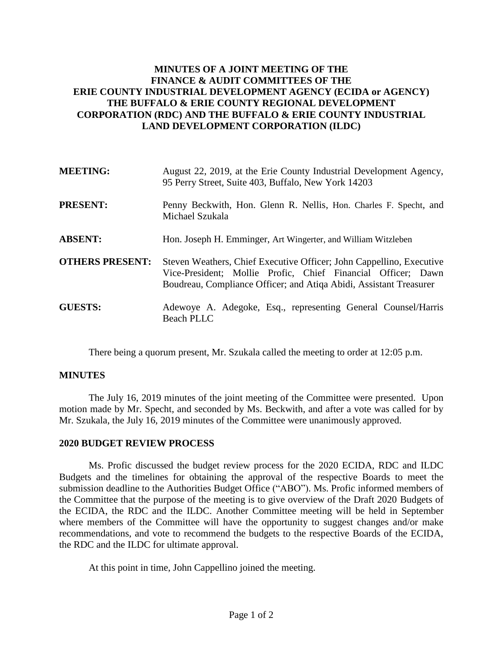# **MINUTES OF A JOINT MEETING OF THE FINANCE & AUDIT COMMITTEES OF THE ERIE COUNTY INDUSTRIAL DEVELOPMENT AGENCY (ECIDA or AGENCY) THE BUFFALO & ERIE COUNTY REGIONAL DEVELOPMENT CORPORATION (RDC) AND THE BUFFALO & ERIE COUNTY INDUSTRIAL LAND DEVELOPMENT CORPORATION (ILDC)**

| <b>MEETING:</b>        | August 22, 2019, at the Erie County Industrial Development Agency,<br>95 Perry Street, Suite 403, Buffalo, New York 14203                                                                                  |
|------------------------|------------------------------------------------------------------------------------------------------------------------------------------------------------------------------------------------------------|
| <b>PRESENT:</b>        | Penny Beckwith, Hon. Glenn R. Nellis, Hon. Charles F. Specht, and<br>Michael Szukala                                                                                                                       |
| <b>ABSENT:</b>         | Hon. Joseph H. Emminger, Art Wingerter, and William Witzleben                                                                                                                                              |
| <b>OTHERS PRESENT:</b> | Steven Weathers, Chief Executive Officer; John Cappellino, Executive<br>Vice-President; Mollie Profic, Chief Financial Officer; Dawn<br>Boudreau, Compliance Officer; and Atiqa Abidi, Assistant Treasurer |
| <b>GUESTS:</b>         | Adewoye A. Adegoke, Esq., representing General Counsel/Harris<br><b>Beach PLLC</b>                                                                                                                         |

There being a quorum present, Mr. Szukala called the meeting to order at 12:05 p.m.

#### **MINUTES**

The July 16, 2019 minutes of the joint meeting of the Committee were presented. Upon motion made by Mr. Specht, and seconded by Ms. Beckwith, and after a vote was called for by Mr. Szukala, the July 16, 2019 minutes of the Committee were unanimously approved.

# **2020 BUDGET REVIEW PROCESS**

Ms. Profic discussed the budget review process for the 2020 ECIDA, RDC and ILDC Budgets and the timelines for obtaining the approval of the respective Boards to meet the submission deadline to the Authorities Budget Office ("ABO"). Ms. Profic informed members of the Committee that the purpose of the meeting is to give overview of the Draft 2020 Budgets of the ECIDA, the RDC and the ILDC. Another Committee meeting will be held in September where members of the Committee will have the opportunity to suggest changes and/or make recommendations, and vote to recommend the budgets to the respective Boards of the ECIDA, the RDC and the ILDC for ultimate approval.

At this point in time, John Cappellino joined the meeting.